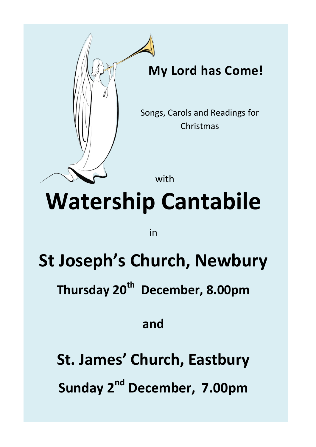

in

# **St Joseph's Church, Newbury**

**Thursday 20th December, 8.00pm**

### **and**

**St. James' Church, Eastbury Sunday 2nd December, 7.00pm**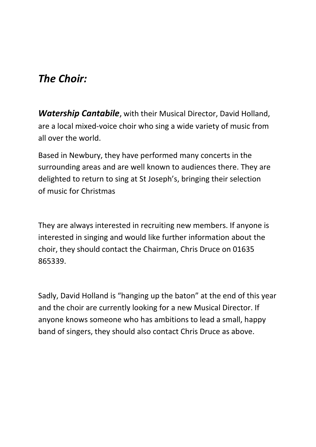#### *The Choir:*

*Watership Cantabile*, with their Musical Director, David Holland, are a local mixed-voice choir who sing a wide variety of music from all over the world.

Based in Newbury, they have performed many concerts in the surrounding areas and are well known to audiences there. They are delighted to return to sing at St Joseph's, bringing their selection of music for Christmas

They are always interested in recruiting new members. If anyone is interested in singing and would like further information about the choir, they should contact the Chairman, Chris Druce on 01635 865339.

Sadly, David Holland is "hanging up the baton" at the end of this year and the choir are currently looking for a new Musical Director. If anyone knows someone who has ambitions to lead a small, happy band of singers, they should also contact Chris Druce as above.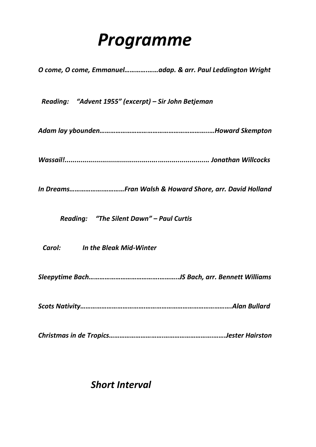## *Programme*

*O come, O come, Emmanuel………….……adap. & arr. Paul Leddington Wright*

 *Reading: "Advent 1955" (excerpt) – Sir John Betjeman*

*Adam lay ybounden……………………………………………………..…Howard Skempton*

*Wassail!......................................................................... Jonathan Willcocks*

*In Dreams……………….…………Fran Walsh & Howard Shore, arr. David Holland*

 *Reading: "The Silent Dawn" – Paul Curtis*

 *Carol: In the Bleak Mid-Winter*

*Sleepytime Bach………………………………….………..JS Bach, arr. Bennett Williams*

*Scots Nativity……………………………….………………………………………….Alan Bullard*

*Christmas in de Tropics………………………….……………………….…….Jester Hairston*

#### *Short Interval*